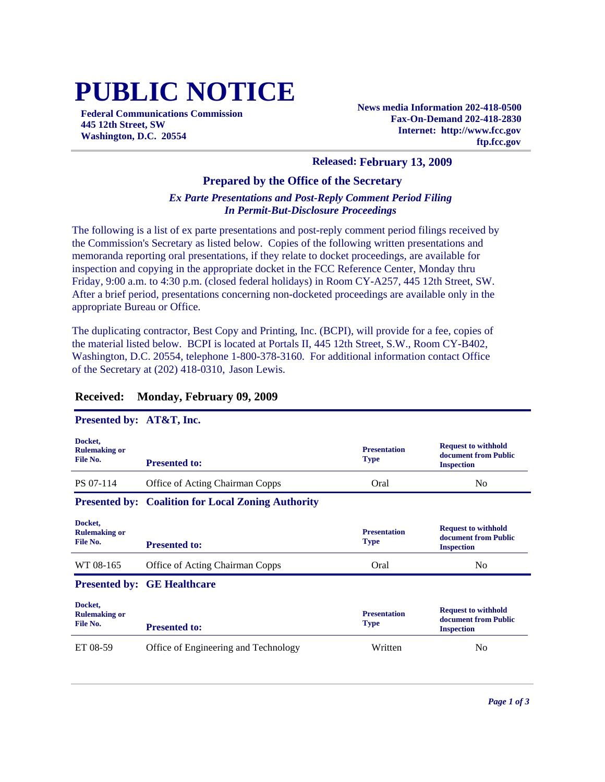# **PUBLIC NOTICE**

**Federal Communications Commission 445 12th Street, SW Washington, D.C. 20554**

**News media Information 202-418-0500 Fax-On-Demand 202-418-2830 Internet: http://www.fcc.gov ftp.fcc.gov**

#### **Released: February 13, 2009**

#### **Prepared by the Office of the Secretary**

#### *Ex Parte Presentations and Post-Reply Comment Period Filing In Permit-But-Disclosure Proceedings*

The following is a list of ex parte presentations and post-reply comment period filings received by the Commission's Secretary as listed below. Copies of the following written presentations and memoranda reporting oral presentations, if they relate to docket proceedings, are available for inspection and copying in the appropriate docket in the FCC Reference Center, Monday thru Friday, 9:00 a.m. to 4:30 p.m. (closed federal holidays) in Room CY-A257, 445 12th Street, SW. After a brief period, presentations concerning non-docketed proceedings are available only in the appropriate Bureau or Office.

The duplicating contractor, Best Copy and Printing, Inc. (BCPI), will provide for a fee, copies of the material listed below. BCPI is located at Portals II, 445 12th Street, S.W., Room CY-B402, Washington, D.C. 20554, telephone 1-800-378-3160. For additional information contact Office of the Secretary at (202) 418-0310, Jason Lewis.

| Presented by: AT&T, Inc.                    |                                                           |                                    |                                                                         |
|---------------------------------------------|-----------------------------------------------------------|------------------------------------|-------------------------------------------------------------------------|
| Docket,<br><b>Rulemaking or</b><br>File No. | <b>Presented to:</b>                                      | <b>Presentation</b><br><b>Type</b> | <b>Request to withhold</b><br>document from Public<br><b>Inspection</b> |
| PS 07-114                                   | <b>Office of Acting Chairman Copps</b>                    | Oral                               | N <sub>0</sub>                                                          |
|                                             | <b>Presented by: Coalition for Local Zoning Authority</b> |                                    |                                                                         |
| Docket,<br><b>Rulemaking or</b><br>File No. | <b>Presented to:</b>                                      | <b>Presentation</b><br><b>Type</b> | <b>Request to withhold</b><br>document from Public<br><b>Inspection</b> |
| WT 08-165                                   | <b>Office of Acting Chairman Copps</b>                    | Oral                               | No                                                                      |
|                                             | <b>Presented by: GE Healthcare</b>                        |                                    |                                                                         |
| Docket,<br><b>Rulemaking or</b><br>File No. | <b>Presented to:</b>                                      | <b>Presentation</b><br><b>Type</b> | <b>Request to withhold</b><br>document from Public<br><b>Inspection</b> |
| ET 08-59                                    | Office of Engineering and Technology                      | Written                            | N <sub>0</sub>                                                          |

#### **Received: Monday, February 09, 2009**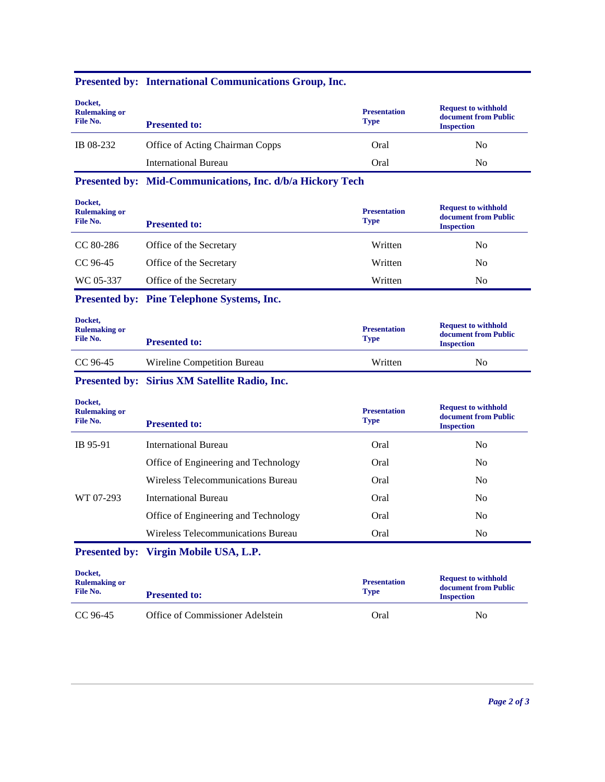| Docket,<br><b>Rulemaking or</b><br>File No. | <b>Presented to:</b>                                      | <b>Presentation</b><br><b>Type</b> | <b>Request to withhold</b><br>document from Public<br><b>Inspection</b> |
|---------------------------------------------|-----------------------------------------------------------|------------------------------------|-------------------------------------------------------------------------|
| IB 08-232                                   | Office of Acting Chairman Copps                           | Oral                               | N <sub>0</sub>                                                          |
|                                             | <b>International Bureau</b>                               | Oral                               | N <sub>0</sub>                                                          |
|                                             | Presented by: Mid-Communications, Inc. d/b/a Hickory Tech |                                    |                                                                         |
| Docket,<br><b>Rulemaking or</b><br>File No. | <b>Presented to:</b>                                      | <b>Presentation</b><br><b>Type</b> | <b>Request to withhold</b><br>document from Public<br><b>Inspection</b> |
| CC 80-286                                   | Office of the Secretary                                   | Written                            | $\rm No$                                                                |
| CC 96-45                                    | Office of the Secretary                                   | Written                            | N <sub>0</sub>                                                          |
| WC 05-337                                   | Office of the Secretary                                   | Written                            | N <sub>0</sub>                                                          |
|                                             | <b>Presented by: Pine Telephone Systems, Inc.</b>         |                                    |                                                                         |
| Docket,<br><b>Rulemaking or</b><br>File No. | <b>Presented to:</b>                                      | <b>Presentation</b><br><b>Type</b> | <b>Request to withhold</b><br>document from Public<br><b>Inspection</b> |
| CC 96-45                                    | Wireline Competition Bureau                               | Written                            | N <sub>0</sub>                                                          |
|                                             | Presented by: Sirius XM Satellite Radio, Inc.             |                                    |                                                                         |
| Docket,<br><b>Rulemaking or</b><br>File No. | <b>Presented to:</b>                                      | <b>Presentation</b><br><b>Type</b> | <b>Request to withhold</b><br>document from Public<br><b>Inspection</b> |
| IB 95-91                                    | <b>International Bureau</b>                               | Oral                               | N <sub>0</sub>                                                          |
|                                             | Office of Engineering and Technology                      | Oral                               | No                                                                      |
|                                             | Wireless Telecommunications Bureau                        | Oral                               | N <sub>0</sub>                                                          |
| WT 07-293                                   | <b>International Bureau</b>                               | Oral                               | N <sub>o</sub>                                                          |
|                                             | Office of Engineering and Technology                      | Oral                               | N <sub>0</sub>                                                          |
|                                             | Wireless Telecommunications Bureau                        | Oral                               | N <sub>0</sub>                                                          |
|                                             | Presented by: Virgin Mobile USA, L.P.                     |                                    |                                                                         |
| Docket,<br><b>Rulemaking or</b><br>File No. | <b>Presented to:</b>                                      | <b>Presentation</b><br><b>Type</b> | <b>Request to withhold</b><br>document from Public<br><b>Inspection</b> |

CC 96-45 Office of Commissioner Adelstein Oral Oral No

### **Presented by: International Communications Group, Inc.**